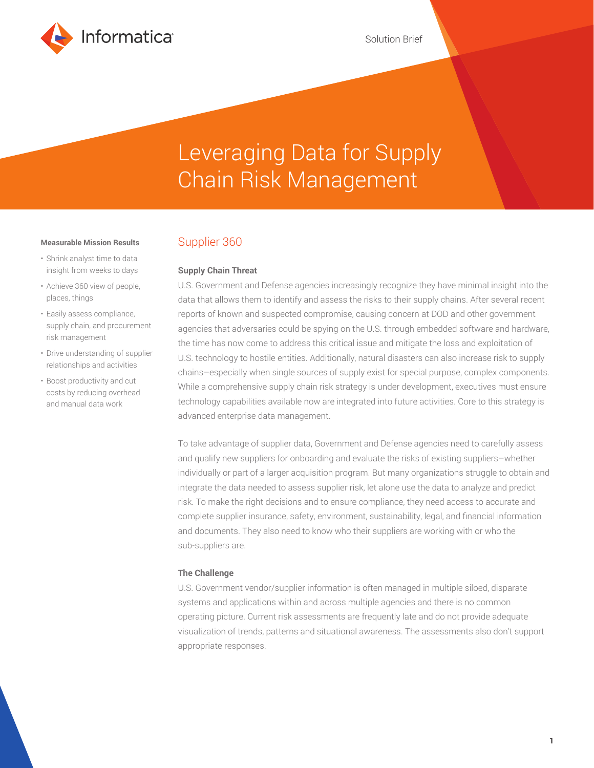

# Leveraging Data for Supply Chain Risk Management

#### **Measurable Mission Results**

- Shrink analyst time to data insight from weeks to days
- Achieve 360 view of people, places, things
- Easily assess compliance, supply chain, and procurement risk management
- Drive understanding of supplier relationships and activities
- Boost productivity and cut costs by reducing overhead and manual data work

# Supplier 360

#### **Supply Chain Threat**

U.S. Government and Defense agencies increasingly recognize they have minimal insight into the data that allows them to identify and assess the risks to their supply chains. After several recent reports of known and suspected compromise, causing concern at DOD and other government agencies that adversaries could be spying on the U.S. through embedded software and hardware, the time has now come to address this critical issue and mitigate the loss and exploitation of U.S. technology to hostile entities. Additionally, natural disasters can also increase risk to supply chains–especially when single sources of supply exist for special purpose, complex components. While a comprehensive supply chain risk strategy is under development, executives must ensure technology capabilities available now are integrated into future activities. Core to this strategy is advanced enterprise data management.

To take advantage of supplier data, Government and Defense agencies need to carefully assess and qualify new suppliers for onboarding and evaluate the risks of existing suppliers–whether individually or part of a larger acquisition program. But many organizations struggle to obtain and integrate the data needed to assess supplier risk, let alone use the data to analyze and predict risk. To make the right decisions and to ensure compliance, they need access to accurate and complete supplier insurance, safety, environment, sustainability, legal, and financial information and documents. They also need to know who their suppliers are working with or who the sub-suppliers are.

#### **The Challenge**

U.S. Government vendor/supplier information is often managed in multiple siloed, disparate systems and applications within and across multiple agencies and there is no common operating picture. Current risk assessments are frequently late and do not provide adequate visualization of trends, patterns and situational awareness. The assessments also don't support appropriate responses.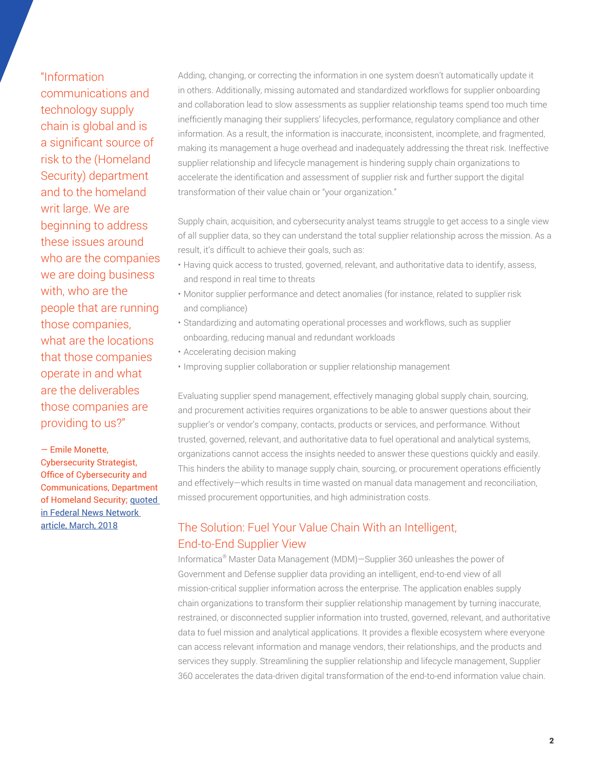"Information communications and technology supply chain is global and is a significant source of risk to the (Homeland Security) department and to the homeland writ large. We are beginning to address these issues around who are the companies we are doing business with, who are the people that are running those companies, what are the locations that those companies operate in and what are the deliverables those companies are providing to us?"

— Emile Monette, Cybersecurity Strategist, Office of Cybersecurity and Communications, Department of Homeland Security; [quoted](https://federalnewsnetwork.com/federal-insights/2018/03/understanding-mitigating-supply-chain-risks-starts-with-data/)  [in Federal News Network](https://federalnewsnetwork.com/federal-insights/2018/03/understanding-mitigating-supply-chain-risks-starts-with-data/)  [article, March, 2018](https://federalnewsnetwork.com/federal-insights/2018/03/understanding-mitigating-supply-chain-risks-starts-with-data/)

Adding, changing, or correcting the information in one system doesn't automatically update it in others. Additionally, missing automated and standardized workflows for supplier onboarding and collaboration lead to slow assessments as supplier relationship teams spend too much time inefficiently managing their suppliers' lifecycles, performance, regulatory compliance and other information. As a result, the information is inaccurate, inconsistent, incomplete, and fragmented, making its management a huge overhead and inadequately addressing the threat risk. Ineffective supplier relationship and lifecycle management is hindering supply chain organizations to accelerate the identification and assessment of supplier risk and further support the digital transformation of their value chain or "your organization."

Supply chain, acquisition, and cybersecurity analyst teams struggle to get access to a single view of all supplier data, so they can understand the total supplier relationship across the mission. As a result, it's difficult to achieve their goals, such as:

- Having quick access to trusted, governed, relevant, and authoritative data to identify, assess, and respond in real time to threats
- Monitor supplier performance and detect anomalies (for instance, related to supplier risk and compliance)
- Standardizing and automating operational processes and workflows, such as supplier onboarding, reducing manual and redundant workloads
- Accelerating decision making
- Improving supplier collaboration or supplier relationship management

Evaluating supplier spend management, effectively managing global supply chain, sourcing, and procurement activities requires organizations to be able to answer questions about their supplier's or vendor's company, contacts, products or services, and performance. Without trusted, governed, relevant, and authoritative data to fuel operational and analytical systems, organizations cannot access the insights needed to answer these questions quickly and easily. This hinders the ability to manage supply chain, sourcing, or procurement operations efficiently and effectively—which results in time wasted on manual data management and reconciliation, missed procurement opportunities, and high administration costs.

# The Solution: Fuel Your Value Chain With an Intelligent, End-to-End Supplier View

Informatica® Master Data Management (MDM)—Supplier 360 unleashes the power of Government and Defense supplier data providing an intelligent, end-to-end view of all mission-critical supplier information across the enterprise. The application enables supply chain organizations to transform their supplier relationship management by turning inaccurate, restrained, or disconnected supplier information into trusted, governed, relevant, and authoritative data to fuel mission and analytical applications. It provides a flexible ecosystem where everyone can access relevant information and manage vendors, their relationships, and the products and services they supply. Streamlining the supplier relationship and lifecycle management, Supplier 360 accelerates the data-driven digital transformation of the end-to-end information value chain.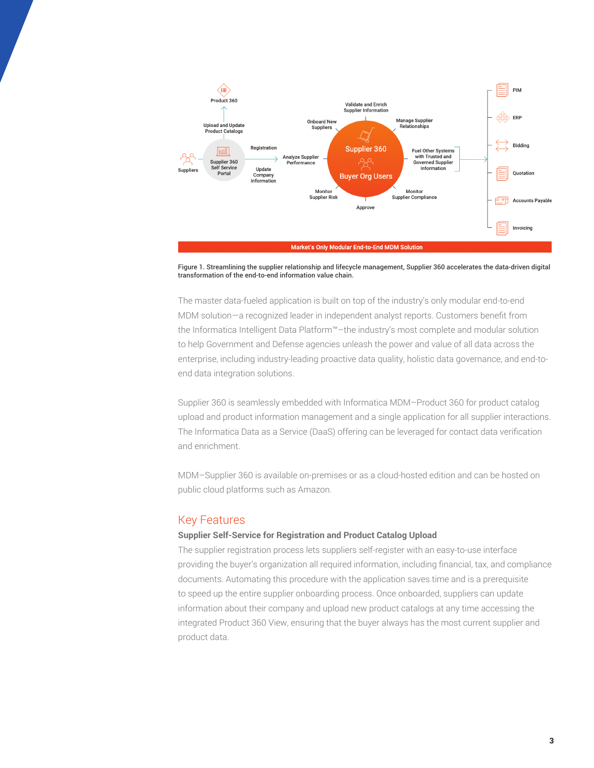

Figure 1. Streamlining the supplier relationship and lifecycle management, Supplier 360 accelerates the data-driven digital transformation of the end-to-end information value chain.

The master data-fueled application is built on top of the industry's only modular end-to-end MDM solution—a recognized leader in independent analyst reports. Customers benefit from the Informatica Intelligent Data Platform™–the industry's most complete and modular solution to help Government and Defense agencies unleash the power and value of all data across the enterprise, including industry-leading proactive data quality, holistic data governance, and end-toend data integration solutions.

Supplier 360 is seamlessly embedded with Informatica MDM–Product 360 for product catalog upload and product information management and a single application for all supplier interactions. The Informatica Data as a Service (DaaS) offering can be leveraged for contact data verification and enrichment.

MDM–Supplier 360 is available on-premises or as a cloud-hosted edition and can be hosted on public cloud platforms such as Amazon.

# Key Features

#### **Supplier Self-Service for Registration and Product Catalog Upload**

The supplier registration process lets suppliers self-register with an easy-to-use interface providing the buyer's organization all required information, including financial, tax, and compliance documents. Automating this procedure with the application saves time and is a prerequisite to speed up the entire supplier onboarding process. Once onboarded, suppliers can update information about their company and upload new product catalogs at any time accessing the integrated Product 360 View, ensuring that the buyer always has the most current supplier and product data.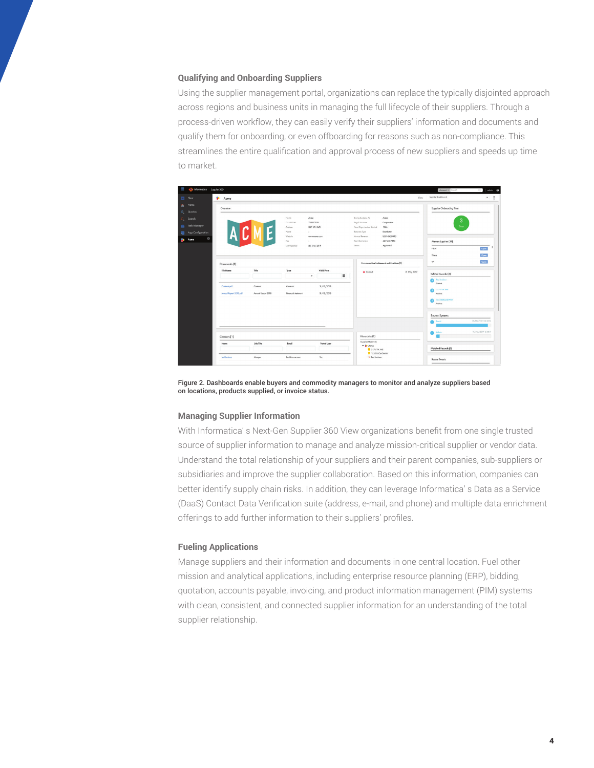#### **Qualifying and Onboarding Suppliers**

Using the supplier management portal, organizations can replace the typically disjointed approach across regions and business units in managing the full lifecycle of their suppliers. Through a process-driven workflow, they can easily verify their suppliers' information and documents and qualify them for onboarding, or even offboarding for reasons such as non-compliance. This streamlines the entire qualification and approval process of new suppliers and speeds up time to market.

| Ξ  | nformatica Suppler 360 |                        |                                                                                            |                       |                          |                                              |                                            | Account o Search                     | conin Q<br>$\Omega$  |
|----|------------------------|------------------------|--------------------------------------------------------------------------------------------|-----------------------|--------------------------|----------------------------------------------|--------------------------------------------|--------------------------------------|----------------------|
|    | New                    | <b>S</b> Acme          |                                                                                            |                       |                          |                                              |                                            | Supplier Dashboard<br>Vew:           | $\bullet$            |
| ٠  | Home                   | Overview               |                                                                                            |                       |                          |                                              |                                            | Supplier Onboarding Time             |                      |
| Q  | Queries                |                        |                                                                                            |                       |                          |                                              |                                            |                                      |                      |
| Q. | Search                 |                        |                                                                                            | Nome                  | Acmo                     | Doing Business As                            | Acmo                                       | 3                                    |                      |
|    | <b>Task Manager</b>    |                        |                                                                                            | $D-UA-5.4$<br>Address | 753872074<br>347 STH AVE | Legal Structure<br>Year Organization Started | Corporation<br>1956                        | Days                                 |                      |
|    | App Configuration      |                        |                                                                                            | Phone                 | $\sim$                   | Business Type                                | Distributor                                |                                      |                      |
| P  | O<br>Acme              |                        |                                                                                            | Website               | WWW.OCFFR.COM            | Annual Revenue<br>Tox Information            | USD 4500000<br>467-55-7854                 |                                      |                      |
|    |                        |                        |                                                                                            | Fax<br>Lost Updated   | $\sim$<br>20-May-2019    | Status                                       | Approved                                   | Alternate Suppliers (19)             |                      |
|    |                        |                        |                                                                                            |                       |                          |                                              |                                            | <b>H&amp;M</b>                       | Open                 |
|    |                        |                        |                                                                                            |                       |                          |                                              |                                            | Trianz                               | Open                 |
|    |                        | Documents [2]          |                                                                                            |                       |                          |                                              | Documents Due for Renewal and Due Date [1] | w                                    | Open                 |
|    |                        | File Nome              | Title                                                                                      | Type                  | Void From                | <b>O</b> Contact                             | 31 May 2019                                |                                      |                      |
|    |                        |                        |                                                                                            |                       | $\equiv$<br>$\bullet$    |                                              |                                            | Related Records (3)<br>Fed Jockson   |                      |
|    |                        |                        | Contact                                                                                    | Contract              |                          |                                              |                                            | A<br>Control                         |                      |
|    |                        | Contract.pdf           |                                                                                            |                       | 31/12/2018               |                                              |                                            | 347 STH AVE<br>ക                     |                      |
|    |                        | Annual Report 2018.pdf | Annual Report 2018                                                                         | Financial statement   | 31/12/2018               |                                              |                                            | Address                              |                      |
|    |                        |                        |                                                                                            |                       |                          |                                              |                                            | <b>1535 BROADWAY</b><br>A<br>Address |                      |
|    |                        |                        |                                                                                            |                       |                          |                                              |                                            |                                      |                      |
|    |                        |                        |                                                                                            |                       |                          |                                              |                                            | Source Systems                       |                      |
|    |                        |                        |                                                                                            |                       |                          |                                              |                                            | Portel                               | 16/May/2019 04:22:52 |
|    |                        |                        |                                                                                            |                       |                          |                                              |                                            |                                      |                      |
|    |                        |                        | Hierarchies (1)<br>Contacts [1]<br>Supplier Hierarchy<br>Job Title<br>Portal User<br>Imail |                       |                          |                                              |                                            | Admin<br>h                           | 19/May/2019 12:38:19 |
|    |                        | Name                   |                                                                                            |                       |                          |                                              |                                            |                                      |                      |
|    |                        |                        |                                                                                            |                       |                          | $ \frac{1}{2}$ Acres                         |                                            | Matched Records (0)                  |                      |
|    |                        |                        |                                                                                            |                       |                          |                                              | 347 STH AVE<br>1535 BROADWAY               |                                      |                      |
|    |                        | Fed Jackson            | Manger                                                                                     | fred@ocme.com         | Yes                      | F a Fed Jackson                              |                                            | Recent Tweets                        |                      |
|    |                        |                        |                                                                                            |                       |                          |                                              |                                            |                                      |                      |

Figure 2. Dashboards enable buyers and commodity managers to monitor and analyze suppliers based on locations, products supplied, or invoice status.

#### **Managing Supplier Information**

With Informatica' s Next-Gen Supplier 360 View organizations benefit from one single trusted source of supplier information to manage and analyze mission-critical supplier or vendor data. Understand the total relationship of your suppliers and their parent companies, sub-suppliers or subsidiaries and improve the supplier collaboration. Based on this information, companies can better identify supply chain risks. In addition, they can leverage Informatica' s Data as a Service (DaaS) Contact Data Verification suite (address, e-mail, and phone) and multiple data enrichment offerings to add further information to their suppliers' profiles.

#### **Fueling Applications**

Manage suppliers and their information and documents in one central location. Fuel other mission and analytical applications, including enterprise resource planning (ERP), bidding, quotation, accounts payable, invoicing, and product information management (PIM) systems with clean, consistent, and connected supplier information for an understanding of the total supplier relationship.